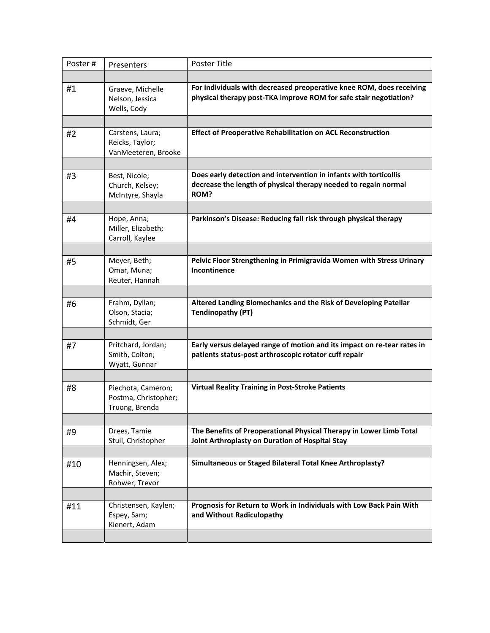| Poster# | Presenters                                                   | Poster Title                                                                                                                                 |
|---------|--------------------------------------------------------------|----------------------------------------------------------------------------------------------------------------------------------------------|
|         |                                                              |                                                                                                                                              |
| #1      | Graeve, Michelle<br>Nelson, Jessica<br>Wells, Cody           | For individuals with decreased preoperative knee ROM, does receiving<br>physical therapy post-TKA improve ROM for safe stair negotiation?    |
|         |                                                              |                                                                                                                                              |
| #2      | Carstens, Laura;<br>Reicks, Taylor;<br>VanMeeteren, Brooke   | <b>Effect of Preoperative Rehabilitation on ACL Reconstruction</b>                                                                           |
|         |                                                              |                                                                                                                                              |
| #3      | Best, Nicole;<br>Church, Kelsey;<br>McIntyre, Shayla         | Does early detection and intervention in infants with torticollis<br>decrease the length of physical therapy needed to regain normal<br>ROM? |
|         |                                                              |                                                                                                                                              |
| #4      | Hope, Anna;<br>Miller, Elizabeth;<br>Carroll, Kaylee         | Parkinson's Disease: Reducing fall risk through physical therapy                                                                             |
|         |                                                              |                                                                                                                                              |
| #5      | Meyer, Beth;<br>Omar, Muna;<br>Reuter, Hannah                | Pelvic Floor Strengthening in Primigravida Women with Stress Urinary<br>Incontinence                                                         |
|         |                                                              |                                                                                                                                              |
| #6      | Frahm, Dyllan;<br>Olson, Stacia;<br>Schmidt, Ger             | Altered Landing Biomechanics and the Risk of Developing Patellar<br><b>Tendinopathy (PT)</b>                                                 |
|         |                                                              |                                                                                                                                              |
| #7      | Pritchard, Jordan;<br>Smith, Colton;<br>Wyatt, Gunnar        | Early versus delayed range of motion and its impact on re-tear rates in<br>patients status-post arthroscopic rotator cuff repair             |
|         |                                                              |                                                                                                                                              |
| #8      | Piechota, Cameron;<br>Postma, Christopher;<br>Truong, Brenda | <b>Virtual Reality Training in Post-Stroke Patients</b>                                                                                      |
|         |                                                              |                                                                                                                                              |
| #9      | Drees, Tamie<br>Stull, Christopher                           | The Benefits of Preoperational Physical Therapy in Lower Limb Total<br>Joint Arthroplasty on Duration of Hospital Stay                       |
|         |                                                              |                                                                                                                                              |
| #10     | Henningsen, Alex;<br>Machir, Steven;<br>Rohwer, Trevor       | Simultaneous or Staged Bilateral Total Knee Arthroplasty?                                                                                    |
|         |                                                              |                                                                                                                                              |
| #11     | Christensen, Kaylen;<br>Espey, Sam;<br>Kienert, Adam         | Prognosis for Return to Work in Individuals with Low Back Pain With<br>and Without Radiculopathy                                             |
|         |                                                              |                                                                                                                                              |